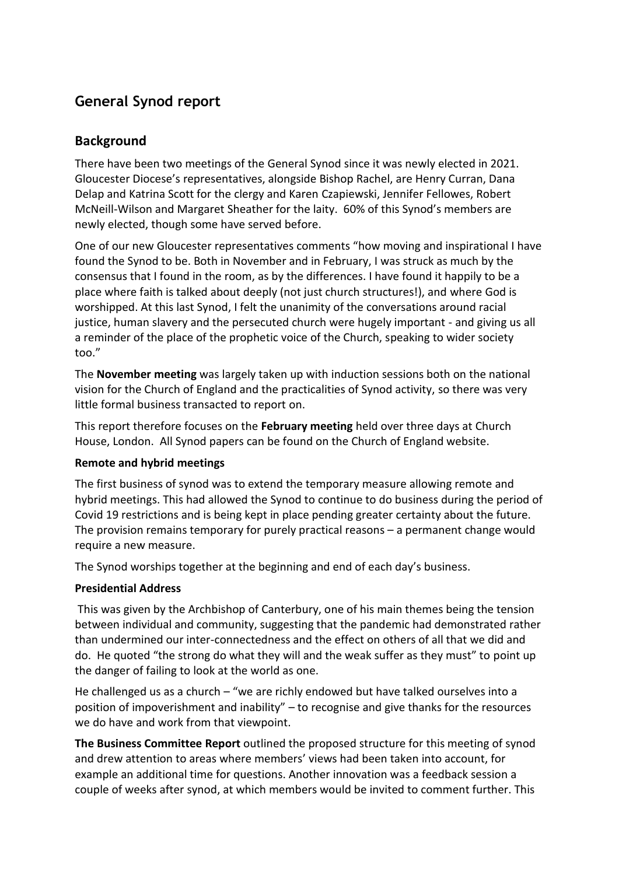# **General Synod report**

# **Background**

There have been two meetings of the General Synod since it was newly elected in 2021. Gloucester Diocese's representatives, alongside Bishop Rachel, are Henry Curran, Dana Delap and Katrina Scott for the clergy and Karen Czapiewski, Jennifer Fellowes, Robert McNeill-Wilson and Margaret Sheather for the laity. 60% of this Synod's members are newly elected, though some have served before.

One of our new Gloucester representatives comments "how moving and inspirational I have found the Synod to be. Both in November and in February, I was struck as much by the consensus that I found in the room, as by the differences. I have found it happily to be a place where faith is talked about deeply (not just church structures!), and where God is worshipped. At this last Synod, I felt the unanimity of the conversations around racial justice, human slavery and the persecuted church were hugely important - and giving us all a reminder of the place of the prophetic voice of the Church, speaking to wider society too."

The **November meeting** was largely taken up with induction sessions both on the national vision for the Church of England and the practicalities of Synod activity, so there was very little formal business transacted to report on.

This report therefore focuses on the **February meeting** held over three days at Church House, London. All Synod papers can be found on the Church of England website.

### **Remote and hybrid meetings**

The first business of synod was to extend the temporary measure allowing remote and hybrid meetings. This had allowed the Synod to continue to do business during the period of Covid 19 restrictions and is being kept in place pending greater certainty about the future. The provision remains temporary for purely practical reasons – a permanent change would require a new measure.

The Synod worships together at the beginning and end of each day's business.

### **Presidential Address**

This was given by the Archbishop of Canterbury, one of his main themes being the tension between individual and community, suggesting that the pandemic had demonstrated rather than undermined our inter-connectedness and the effect on others of all that we did and do. He quoted "the strong do what they will and the weak suffer as they must" to point up the danger of failing to look at the world as one.

He challenged us as a church – "we are richly endowed but have talked ourselves into a position of impoverishment and inability" – to recognise and give thanks for the resources we do have and work from that viewpoint.

**The Business Committee Report** outlined the proposed structure for this meeting of synod and drew attention to areas where members' views had been taken into account, for example an additional time for questions. Another innovation was a feedback session a couple of weeks after synod, at which members would be invited to comment further. This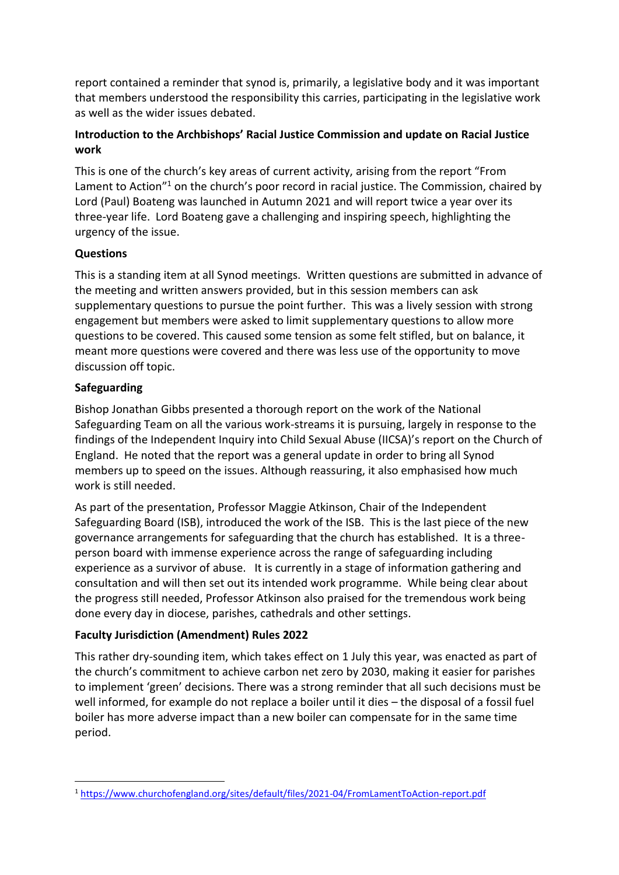report contained a reminder that synod is, primarily, a legislative body and it was important that members understood the responsibility this carries, participating in the legislative work as well as the wider issues debated.

## **Introduction to the Archbishops' Racial Justice Commission and update on Racial Justice work**

This is one of the church's key areas of current activity, arising from the report "From Lament to Action<sup>"1</sup> on the church's poor record in racial justice. The Commission, chaired by Lord (Paul) Boateng was launched in Autumn 2021 and will report twice a year over its three-year life. Lord Boateng gave a challenging and inspiring speech, highlighting the urgency of the issue.

# **Questions**

This is a standing item at all Synod meetings. Written questions are submitted in advance of the meeting and written answers provided, but in this session members can ask supplementary questions to pursue the point further. This was a lively session with strong engagement but members were asked to limit supplementary questions to allow more questions to be covered. This caused some tension as some felt stifled, but on balance, it meant more questions were covered and there was less use of the opportunity to move discussion off topic.

## **Safeguarding**

Bishop Jonathan Gibbs presented a thorough report on the work of the National Safeguarding Team on all the various work-streams it is pursuing, largely in response to the findings of the Independent Inquiry into Child Sexual Abuse (IICSA)'s report on the Church of England. He noted that the report was a general update in order to bring all Synod members up to speed on the issues. Although reassuring, it also emphasised how much work is still needed.

As part of the presentation, Professor Maggie Atkinson, Chair of the Independent Safeguarding Board (ISB), introduced the work of the ISB. This is the last piece of the new governance arrangements for safeguarding that the church has established. It is a threeperson board with immense experience across the range of safeguarding including experience as a survivor of abuse. It is currently in a stage of information gathering and consultation and will then set out its intended work programme. While being clear about the progress still needed, Professor Atkinson also praised for the tremendous work being done every day in diocese, parishes, cathedrals and other settings.

# **Faculty Jurisdiction (Amendment) Rules 2022**

This rather dry-sounding item, which takes effect on 1 July this year, was enacted as part of the church's commitment to achieve carbon net zero by 2030, making it easier for parishes to implement 'green' decisions. There was a strong reminder that all such decisions must be well informed, for example do not replace a boiler until it dies – the disposal of a fossil fuel boiler has more adverse impact than a new boiler can compensate for in the same time period.

<sup>1</sup> <sup>1</sup> <https://www.churchofengland.org/sites/default/files/2021-04/FromLamentToAction-report.pdf>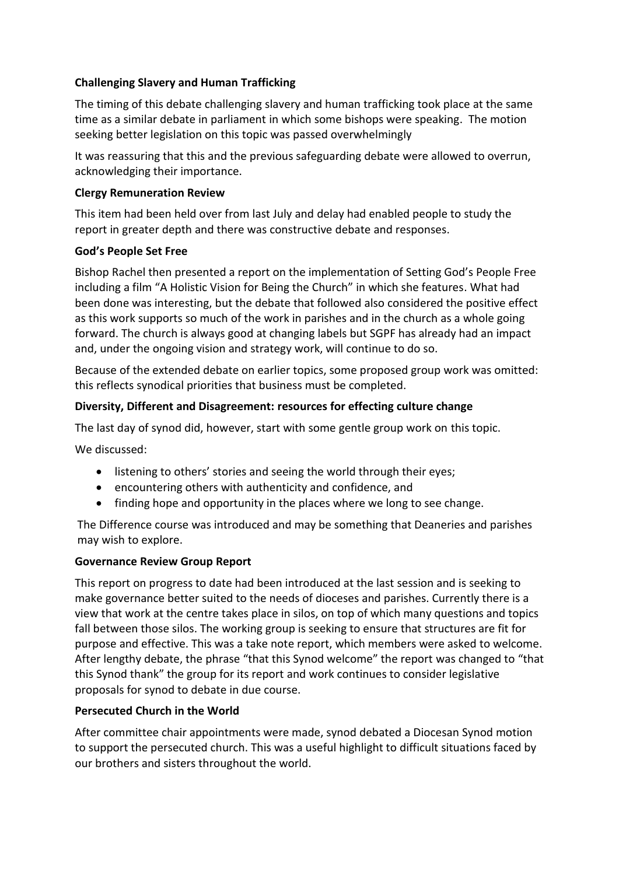## **Challenging Slavery and Human Trafficking**

The timing of this debate challenging slavery and human trafficking took place at the same time as a similar debate in parliament in which some bishops were speaking. The motion seeking better legislation on this topic was passed overwhelmingly

It was reassuring that this and the previous safeguarding debate were allowed to overrun, acknowledging their importance.

#### **Clergy Remuneration Review**

This item had been held over from last July and delay had enabled people to study the report in greater depth and there was constructive debate and responses.

#### **God's People Set Free**

Bishop Rachel then presented a report on the implementation of Setting God's People Free including a film "A Holistic Vision for Being the Church" in which she features. What had been done was interesting, but the debate that followed also considered the positive effect as this work supports so much of the work in parishes and in the church as a whole going forward. The church is always good at changing labels but SGPF has already had an impact and, under the ongoing vision and strategy work, will continue to do so.

Because of the extended debate on earlier topics, some proposed group work was omitted: this reflects synodical priorities that business must be completed.

### **Diversity, Different and Disagreement: resources for effecting culture change**

The last day of synod did, however, start with some gentle group work on this topic.

We discussed:

- listening to others' stories and seeing the world through their eyes;
- encountering others with authenticity and confidence, and
- finding hope and opportunity in the places where we long to see change.

The Difference course was introduced and may be something that Deaneries and parishes may wish to explore.

#### **Governance Review Group Report**

This report on progress to date had been introduced at the last session and is seeking to make governance better suited to the needs of dioceses and parishes. Currently there is a view that work at the centre takes place in silos, on top of which many questions and topics fall between those silos. The working group is seeking to ensure that structures are fit for purpose and effective. This was a take note report, which members were asked to welcome. After lengthy debate, the phrase "that this Synod welcome" the report was changed to "that this Synod thank" the group for its report and work continues to consider legislative proposals for synod to debate in due course.

### **Persecuted Church in the World**

After committee chair appointments were made, synod debated a Diocesan Synod motion to support the persecuted church. This was a useful highlight to difficult situations faced by our brothers and sisters throughout the world.